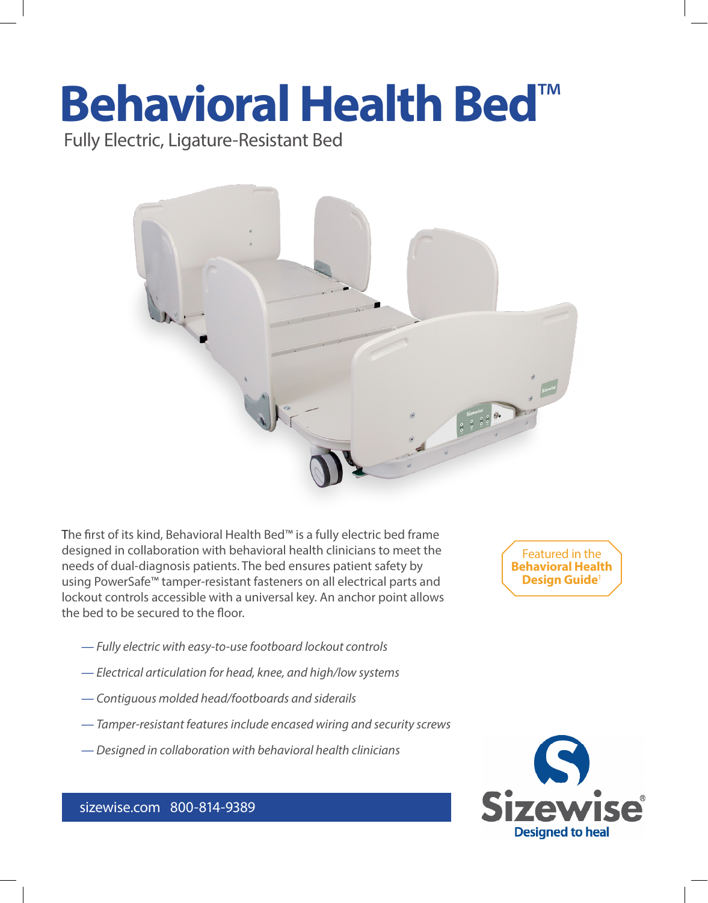# **Behavioral Health Bed**™

Fully Electric, Ligature-Resistant Bed



The first of its kind, Behavioral Health Bed™ is a fully electric bed frame designed in collaboration with behavioral health clinicians to meet the needs of dual-diagnosis patients. The bed ensures patient safety by using PowerSafe™ tamper-resistant fasteners on all electrical parts and lockout controls accessible with a universal key. An anchor point allows the bed to be secured to the floor.

- *Fully electric with easy-to-use footboard lockout controls*
- *Electrical articulation for head, knee, and high/low systems*
- *Contiguous molded head/footboards and siderails*
- *Tamper-resistant features include encased wiring and security screws*
- *Designed in collaboration with behavioral health clinicians*

Featured in the **Behavioral Health Design Guide**1



### sizewise.com 800-814-9389